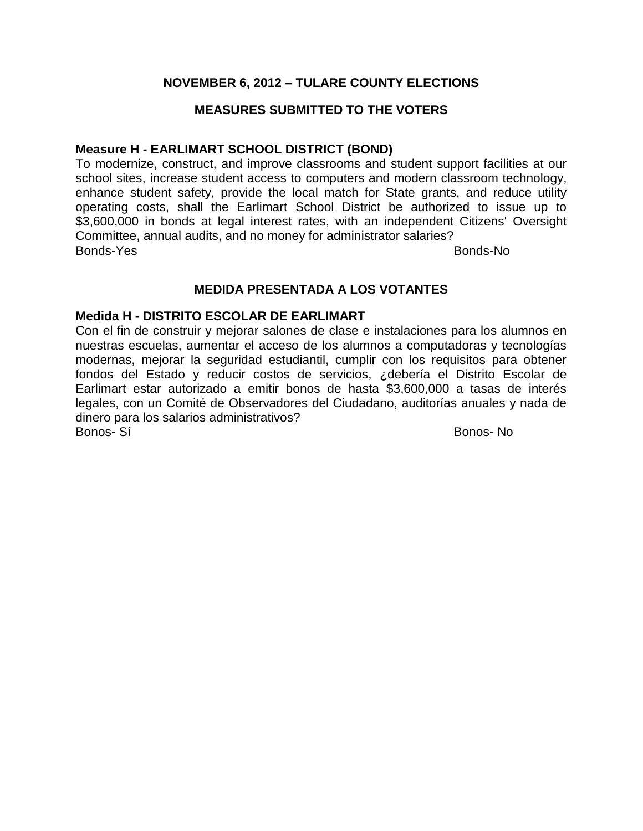# **NOVEMBER 6, 2012 – TULARE COUNTY ELECTIONS**

# **MEASURES SUBMITTED TO THE VOTERS**

# **Measure H - EARLIMART SCHOOL DISTRICT (BOND)**

To modernize, construct, and improve classrooms and student support facilities at our school sites, increase student access to computers and modern classroom technology, enhance student safety, provide the local match for State grants, and reduce utility operating costs, shall the Earlimart School District be authorized to issue up to \$3,600,000 in bonds at legal interest rates, with an independent Citizens' Oversight Committee, annual audits, and no money for administrator salaries? Bonds-Yes Bonds-No

# **MEDIDA PRESENTADA A LOS VOTANTES**

# **Medida H - DISTRITO ESCOLAR DE EARLIMART**

Con el fin de construir y mejorar salones de clase e instalaciones para los alumnos en nuestras escuelas, aumentar el acceso de los alumnos a computadoras y tecnologías modernas, mejorar la seguridad estudiantil, cumplir con los requisitos para obtener fondos del Estado y reducir costos de servicios, ¿debería el Distrito Escolar de Earlimart estar autorizado a emitir bonos de hasta \$3,600,000 a tasas de interés legales, con un Comité de Observadores del Ciudadano, auditorías anuales y nada de dinero para los salarios administrativos? Bonos- Sí Bonos- No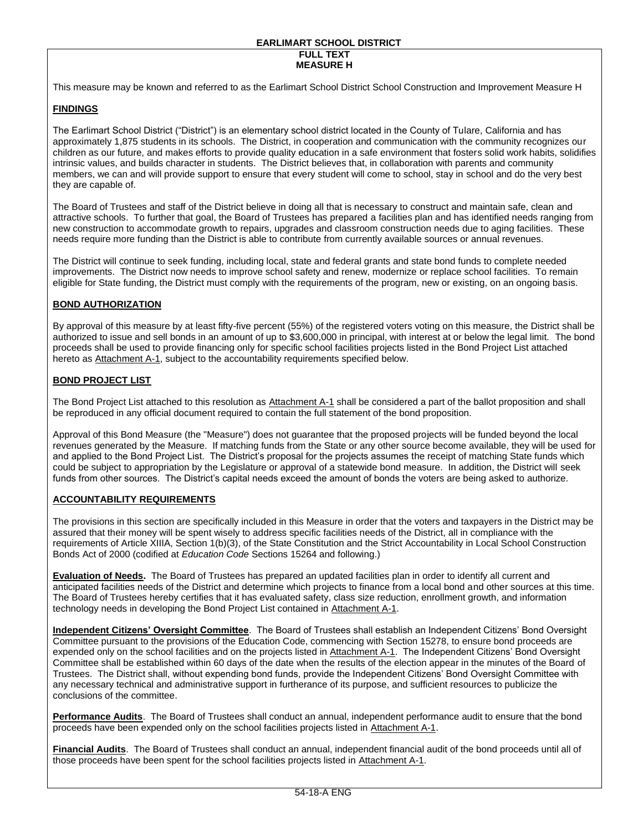#### **EARLIMART SCHOOL DISTRICT FULL TEXT MEASURE H**

This measure may be known and referred to as the Earlimart School District School Construction and Improvement Measure H

## **FINDINGS**

The Earlimart School District ("District") is an elementary school district located in the County of Tulare, California and has approximately 1,875 students in its schools. The District, in cooperation and communication with the community recognizes our children as our future, and makes efforts to provide quality education in a safe environment that fosters solid work habits, solidifies intrinsic values, and builds character in students. The District believes that, in collaboration with parents and community members, we can and will provide support to ensure that every student will come to school, stay in school and do the very best they are capable of.

The Board of Trustees and staff of the District believe in doing all that is necessary to construct and maintain safe, clean and attractive schools. To further that goal, the Board of Trustees has prepared a facilities plan and has identified needs ranging from new construction to accommodate growth to repairs, upgrades and classroom construction needs due to aging facilities. These needs require more funding than the District is able to contribute from currently available sources or annual revenues.

The District will continue to seek funding, including local, state and federal grants and state bond funds to complete needed improvements. The District now needs to improve school safety and renew, modernize or replace school facilities. To remain eligible for State funding, the District must comply with the requirements of the program, new or existing, on an ongoing basis.

#### **BOND AUTHORIZATION**

By approval of this measure by at least fifty-five percent (55%) of the registered voters voting on this measure, the District shall be authorized to issue and sell bonds in an amount of up to \$3,600,000 in principal, with interest at or below the legal limit. The bond proceeds shall be used to provide financing only for specific school facilities projects listed in the Bond Project List attached hereto as Attachment A-1, subject to the accountability requirements specified below.

#### **BOND PROJECT LIST**

The Bond Project List attached to this resolution as Attachment A-1 shall be considered a part of the ballot proposition and shall be reproduced in any official document required to contain the full statement of the bond proposition.

Approval of this Bond Measure (the "Measure") does not guarantee that the proposed projects will be funded beyond the local revenues generated by the Measure. If matching funds from the State or any other source become available, they will be used for and applied to the Bond Project List. The District's proposal for the projects assumes the receipt of matching State funds which could be subject to appropriation by the Legislature or approval of a statewide bond measure. In addition, the District will seek funds from other sources. The District's capital needs exceed the amount of bonds the voters are being asked to authorize.

#### **ACCOUNTABILITY REQUIREMENTS**

The provisions in this section are specifically included in this Measure in order that the voters and taxpayers in the District may be assured that their money will be spent wisely to address specific facilities needs of the District, all in compliance with the requirements of Article XIIIA, Section 1(b)(3), of the State Constitution and the Strict Accountability in Local School Construction Bonds Act of 2000 (codified at *Education Code* Sections 15264 and following.)

**Evaluation of Needs.** The Board of Trustees has prepared an updated facilities plan in order to identify all current and anticipated facilities needs of the District and determine which projects to finance from a local bond and other sources at this time. The Board of Trustees hereby certifies that it has evaluated safety, class size reduction, enrollment growth, and information technology needs in developing the Bond Project List contained in Attachment A-1.

**Independent Citizens' Oversight Committee**. The Board of Trustees shall establish an Independent Citizens' Bond Oversight Committee pursuant to the provisions of the Education Code, commencing with Section 15278, to ensure bond proceeds are expended only on the school facilities and on the projects listed in Attachment A-1. The Independent Citizens' Bond Oversight Committee shall be established within 60 days of the date when the results of the election appear in the minutes of the Board of Trustees. The District shall, without expending bond funds, provide the Independent Citizens' Bond Oversight Committee with any necessary technical and administrative support in furtherance of its purpose, and sufficient resources to publicize the conclusions of the committee.

**Performance Audits**. The Board of Trustees shall conduct an annual, independent performance audit to ensure that the bond proceeds have been expended only on the school facilities projects listed in Attachment A-1.

**Financial Audits**. The Board of Trustees shall conduct an annual, independent financial audit of the bond proceeds until all of those proceeds have been spent for the school facilities projects listed in Attachment A-1.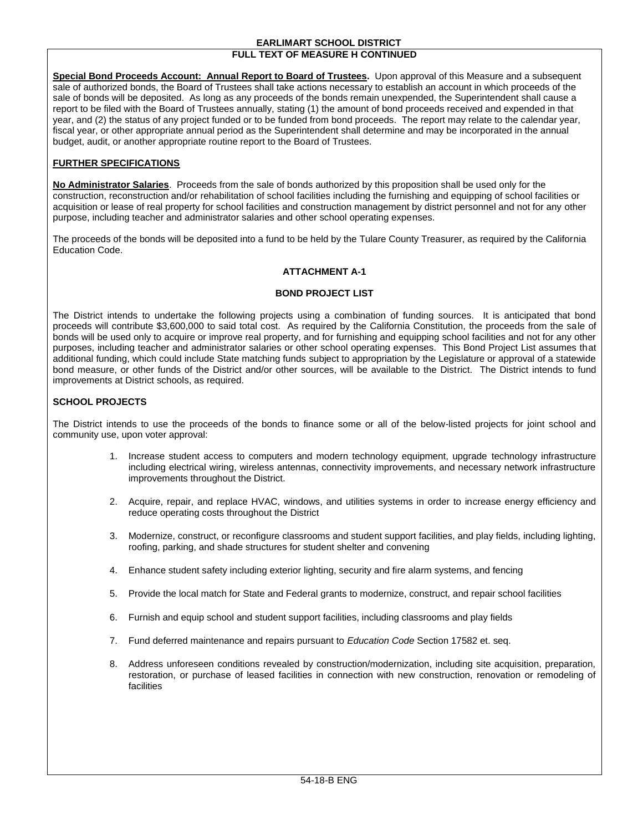#### **EARLIMART SCHOOL DISTRICT FULL TEXT OF MEASURE H CONTINUED**

**Special Bond Proceeds Account: Annual Report to Board of Trustees.** Upon approval of this Measure and a subsequent sale of authorized bonds, the Board of Trustees shall take actions necessary to establish an account in which proceeds of the sale of bonds will be deposited. As long as any proceeds of the bonds remain unexpended, the Superintendent shall cause a report to be filed with the Board of Trustees annually, stating (1) the amount of bond proceeds received and expended in that year, and (2) the status of any project funded or to be funded from bond proceeds. The report may relate to the calendar year, fiscal year, or other appropriate annual period as the Superintendent shall determine and may be incorporated in the annual budget, audit, or another appropriate routine report to the Board of Trustees.

#### **FURTHER SPECIFICATIONS**

**No Administrator Salaries**. Proceeds from the sale of bonds authorized by this proposition shall be used only for the construction, reconstruction and/or rehabilitation of school facilities including the furnishing and equipping of school facilities or acquisition or lease of real property for school facilities and construction management by district personnel and not for any other purpose, including teacher and administrator salaries and other school operating expenses.

The proceeds of the bonds will be deposited into a fund to be held by the Tulare County Treasurer, as required by the California Education Code.

## **ATTACHMENT A-1**

#### **BOND PROJECT LIST**

The District intends to undertake the following projects using a combination of funding sources. It is anticipated that bond proceeds will contribute \$3,600,000 to said total cost. As required by the California Constitution, the proceeds from the sale of bonds will be used only to acquire or improve real property, and for furnishing and equipping school facilities and not for any other purposes, including teacher and administrator salaries or other school operating expenses. This Bond Project List assumes that additional funding, which could include State matching funds subject to appropriation by the Legislature or approval of a statewide bond measure, or other funds of the District and/or other sources, will be available to the District. The District intends to fund improvements at District schools, as required.

#### **SCHOOL PROJECTS**

The District intends to use the proceeds of the bonds to finance some or all of the below-listed projects for joint school and community use, upon voter approval:

- 1. Increase student access to computers and modern technology equipment, upgrade technology infrastructure including electrical wiring, wireless antennas, connectivity improvements, and necessary network infrastructure improvements throughout the District.
- 2. Acquire, repair, and replace HVAC, windows, and utilities systems in order to increase energy efficiency and reduce operating costs throughout the District
- 3. Modernize, construct, or reconfigure classrooms and student support facilities, and play fields, including lighting, roofing, parking, and shade structures for student shelter and convening
- 4. Enhance student safety including exterior lighting, security and fire alarm systems, and fencing
- 5. Provide the local match for State and Federal grants to modernize, construct, and repair school facilities
- 6. Furnish and equip school and student support facilities, including classrooms and play fields
- 7. Fund deferred maintenance and repairs pursuant to *Education Code* Section 17582 et. seq.
- 8. Address unforeseen conditions revealed by construction/modernization, including site acquisition, preparation, restoration, or purchase of leased facilities in connection with new construction, renovation or remodeling of facilities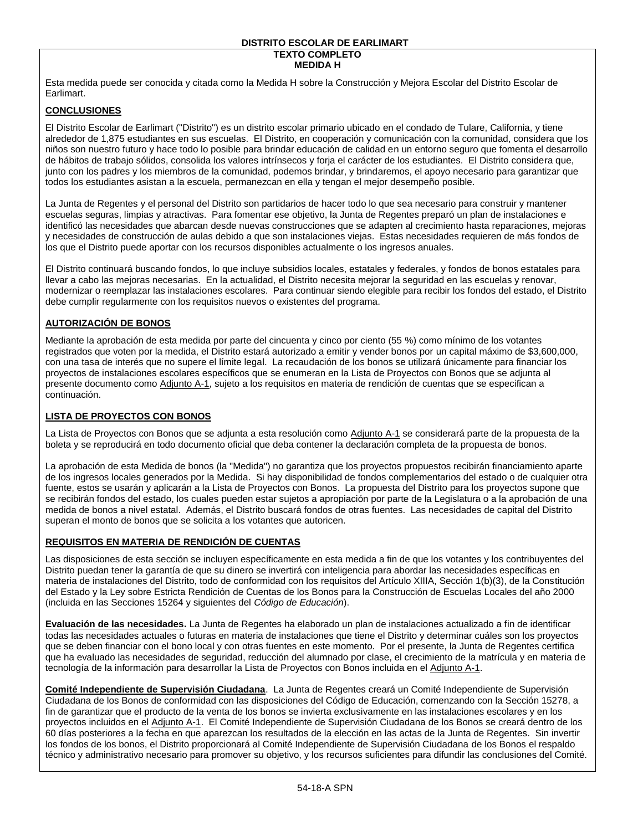#### **DISTRITO ESCOLAR DE EARLIMART TEXTO COMPLETO**

## **MEDIDA H**

Esta medida puede ser conocida y citada como la Medida H sobre la Construcción y Mejora Escolar del Distrito Escolar de Earlimart.

#### **CONCLUSIONES**

El Distrito Escolar de Earlimart ("Distrito") es un distrito escolar primario ubicado en el condado de Tulare, California, y tiene alrededor de 1,875 estudiantes en sus escuelas. El Distrito, en cooperación y comunicación con la comunidad, considera que los niños son nuestro futuro y hace todo lo posible para brindar educación de calidad en un entorno seguro que fomenta el desarrollo de hábitos de trabajo sólidos, consolida los valores intrínsecos y forja el carácter de los estudiantes. El Distrito considera que, junto con los padres y los miembros de la comunidad, podemos brindar, y brindaremos, el apoyo necesario para garantizar que todos los estudiantes asistan a la escuela, permanezcan en ella y tengan el mejor desempeño posible.

La Junta de Regentes y el personal del Distrito son partidarios de hacer todo lo que sea necesario para construir y mantener escuelas seguras, limpias y atractivas. Para fomentar ese objetivo, la Junta de Regentes preparó un plan de instalaciones e identificó las necesidades que abarcan desde nuevas construcciones que se adapten al crecimiento hasta reparaciones, mejoras y necesidades de construcción de aulas debido a que son instalaciones viejas. Estas necesidades requieren de más fondos de los que el Distrito puede aportar con los recursos disponibles actualmente o los ingresos anuales.

El Distrito continuará buscando fondos, lo que incluye subsidios locales, estatales y federales, y fondos de bonos estatales para llevar a cabo las mejoras necesarias. En la actualidad, el Distrito necesita mejorar la seguridad en las escuelas y renovar, modernizar o reemplazar las instalaciones escolares. Para continuar siendo elegible para recibir los fondos del estado, el Distrito debe cumplir regularmente con los requisitos nuevos o existentes del programa.

## **AUTORIZACIÓN DE BONOS**

Mediante la aprobación de esta medida por parte del cincuenta y cinco por ciento (55 %) como mínimo de los votantes registrados que voten por la medida, el Distrito estará autorizado a emitir y vender bonos por un capital máximo de \$3,600,000, con una tasa de interés que no supere el límite legal. La recaudación de los bonos se utilizará únicamente para financiar los proyectos de instalaciones escolares específicos que se enumeran en la Lista de Proyectos con Bonos que se adjunta al presente documento como Adjunto A-1, sujeto a los requisitos en materia de rendición de cuentas que se especifican a continuación.

#### **LISTA DE PROYECTOS CON BONOS**

La Lista de Proyectos con Bonos que se adjunta a esta resolución como Adjunto A-1 se considerará parte de la propuesta de la boleta y se reproducirá en todo documento oficial que deba contener la declaración completa de la propuesta de bonos.

La aprobación de esta Medida de bonos (la "Medida") no garantiza que los proyectos propuestos recibirán financiamiento aparte de los ingresos locales generados por la Medida. Si hay disponibilidad de fondos complementarios del estado o de cualquier otra fuente, estos se usarán y aplicarán a la Lista de Proyectos con Bonos. La propuesta del Distrito para los proyectos supone que se recibirán fondos del estado, los cuales pueden estar sujetos a apropiación por parte de la Legislatura o a la aprobación de una medida de bonos a nivel estatal. Además, el Distrito buscará fondos de otras fuentes. Las necesidades de capital del Distrito superan el monto de bonos que se solicita a los votantes que autoricen.

#### **REQUISITOS EN MATERIA DE RENDICIÓN DE CUENTAS**

Las disposiciones de esta sección se incluyen específicamente en esta medida a fin de que los votantes y los contribuyentes del Distrito puedan tener la garantía de que su dinero se invertirá con inteligencia para abordar las necesidades específicas en materia de instalaciones del Distrito, todo de conformidad con los requisitos del Artículo XIIIA, Sección 1(b)(3), de la Constitución del Estado y la Ley sobre Estricta Rendición de Cuentas de los Bonos para la Construcción de Escuelas Locales del año 2000 (incluida en las Secciones 15264 y siguientes del *Código de Educación*).

**Evaluación de las necesidades.** La Junta de Regentes ha elaborado un plan de instalaciones actualizado a fin de identificar todas las necesidades actuales o futuras en materia de instalaciones que tiene el Distrito y determinar cuáles son los proyectos que se deben financiar con el bono local y con otras fuentes en este momento. Por el presente, la Junta de Regentes certifica que ha evaluado las necesidades de seguridad, reducción del alumnado por clase, el crecimiento de la matrícula y en materia de tecnología de la información para desarrollar la Lista de Proyectos con Bonos incluida en el Adjunto A-1.

**Comité Independiente de Supervisión Ciudadana**. La Junta de Regentes creará un Comité Independiente de Supervisión Ciudadana de los Bonos de conformidad con las disposiciones del Código de Educación, comenzando con la Sección 15278, a fin de garantizar que el producto de la venta de los bonos se invierta exclusivamente en las instalaciones escolares y en los proyectos incluidos en el Adjunto A-1. El Comité Independiente de Supervisión Ciudadana de los Bonos se creará dentro de los 60 días posteriores a la fecha en que aparezcan los resultados de la elección en las actas de la Junta de Regentes. Sin invertir los fondos de los bonos, el Distrito proporcionará al Comité Independiente de Supervisión Ciudadana de los Bonos el respaldo técnico y administrativo necesario para promover su objetivo, y los recursos suficientes para difundir las conclusiones del Comité.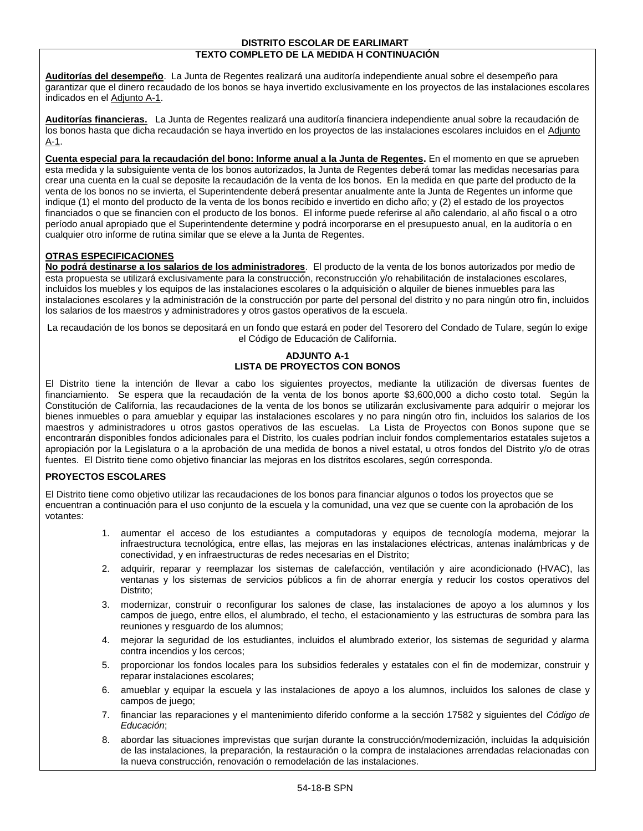#### **DISTRITO ESCOLAR DE EARLIMART TEXTO COMPLETO DE LA MEDIDA H CONTINUACIÓN**

**Auditorías del desempeño**. La Junta de Regentes realizará una auditoría independiente anual sobre el desempeño para garantizar que el dinero recaudado de los bonos se haya invertido exclusivamente en los proyectos de las instalaciones escolares indicados en el Adjunto A-1.

**Auditorías financieras.** La Junta de Regentes realizará una auditoría financiera independiente anual sobre la recaudación de los bonos hasta que dicha recaudación se haya invertido en los proyectos de las instalaciones escolares incluidos en el Adjunto A-1.

**Cuenta especial para la recaudación del bono: Informe anual a la Junta de Regentes.** En el momento en que se aprueben esta medida y la subsiguiente venta de los bonos autorizados, la Junta de Regentes deberá tomar las medidas necesarias para crear una cuenta en la cual se deposite la recaudación de la venta de los bonos. En la medida en que parte del producto de la venta de los bonos no se invierta, el Superintendente deberá presentar anualmente ante la Junta de Regentes un informe que indique (1) el monto del producto de la venta de los bonos recibido e invertido en dicho año; y (2) el estado de los proyectos financiados o que se financien con el producto de los bonos. El informe puede referirse al año calendario, al año fiscal o a otro período anual apropiado que el Superintendente determine y podrá incorporarse en el presupuesto anual, en la auditoría o en cualquier otro informe de rutina similar que se eleve a la Junta de Regentes.

## **OTRAS ESPECIFICACIONES**

**No podrá destinarse a los salarios de los administradores**. El producto de la venta de los bonos autorizados por medio de esta propuesta se utilizará exclusivamente para la construcción, reconstrucción y/o rehabilitación de instalaciones escolares, incluidos los muebles y los equipos de las instalaciones escolares o la adquisición o alquiler de bienes inmuebles para las instalaciones escolares y la administración de la construcción por parte del personal del distrito y no para ningún otro fin, incluidos los salarios de los maestros y administradores y otros gastos operativos de la escuela.

La recaudación de los bonos se depositará en un fondo que estará en poder del Tesorero del Condado de Tulare, según lo exige el Código de Educación de California.

#### **ADJUNTO A-1 LISTA DE PROYECTOS CON BONOS**

El Distrito tiene la intención de llevar a cabo los siguientes proyectos, mediante la utilización de diversas fuentes de financiamiento. Se espera que la recaudación de la venta de los bonos aporte \$3,600,000 a dicho costo total. Según la Constitución de California, las recaudaciones de la venta de los bonos se utilizarán exclusivamente para adquirir o mejorar los bienes inmuebles o para amueblar y equipar las instalaciones escolares y no para ningún otro fin, incluidos los salarios de los maestros y administradores u otros gastos operativos de las escuelas. La Lista de Proyectos con Bonos supone que se encontrarán disponibles fondos adicionales para el Distrito, los cuales podrían incluir fondos complementarios estatales sujetos a apropiación por la Legislatura o a la aprobación de una medida de bonos a nivel estatal, u otros fondos del Distrito y/o de otras fuentes. El Distrito tiene como objetivo financiar las mejoras en los distritos escolares, según corresponda.

#### **PROYECTOS ESCOLARES**

El Distrito tiene como objetivo utilizar las recaudaciones de los bonos para financiar algunos o todos los proyectos que se encuentran a continuación para el uso conjunto de la escuela y la comunidad, una vez que se cuente con la aprobación de los votantes:

- 1. aumentar el acceso de los estudiantes a computadoras y equipos de tecnología moderna, mejorar la infraestructura tecnológica, entre ellas, las mejoras en las instalaciones eléctricas, antenas inalámbricas y de conectividad, y en infraestructuras de redes necesarias en el Distrito;
- 2. adquirir, reparar y reemplazar los sistemas de calefacción, ventilación y aire acondicionado (HVAC), las ventanas y los sistemas de servicios públicos a fin de ahorrar energía y reducir los costos operativos del Distrito;
- 3. modernizar, construir o reconfigurar los salones de clase, las instalaciones de apoyo a los alumnos y los campos de juego, entre ellos, el alumbrado, el techo, el estacionamiento y las estructuras de sombra para las reuniones y resguardo de los alumnos;
- 4. mejorar la seguridad de los estudiantes, incluidos el alumbrado exterior, los sistemas de seguridad y alarma contra incendios y los cercos;
- 5. proporcionar los fondos locales para los subsidios federales y estatales con el fin de modernizar, construir y reparar instalaciones escolares;
- 6. amueblar y equipar la escuela y las instalaciones de apoyo a los alumnos, incluidos los salones de clase y campos de juego;
- 7. financiar las reparaciones y el mantenimiento diferido conforme a la sección 17582 y siguientes del *Código de Educación*;
- 8. abordar las situaciones imprevistas que surjan durante la construcción/modernización, incluidas la adquisición de las instalaciones, la preparación, la restauración o la compra de instalaciones arrendadas relacionadas con la nueva construcción, renovación o remodelación de las instalaciones.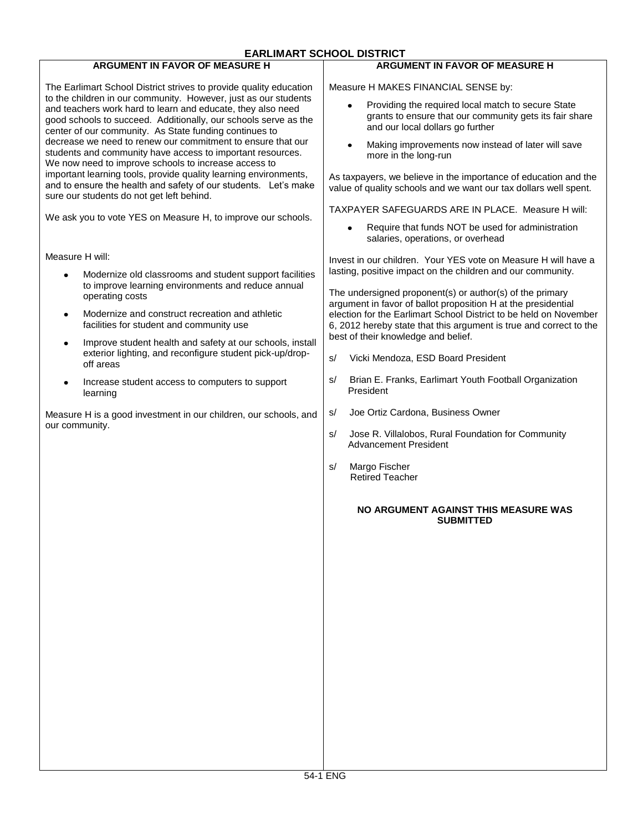#### **EARLIMART SCHOOL DISTRICT ARGUMENT IN FAVOR OF MEASURE H ARGUMENT IN FAVOR OF MEASURE H** The Earlimart School District strives to provide quality education Measure H MAKES FINANCIAL SENSE by: to the children in our community. However, just as our students Providing the required local match to secure State and teachers work hard to learn and educate, they also need grants to ensure that our community gets its fair share good schools to succeed. Additionally, our schools serve as the and our local dollars go further center of our community. As State funding continues to decrease we need to renew our commitment to ensure that our Making improvements now instead of later will save students and community have access to important resources. more in the long-run We now need to improve schools to increase access to important learning tools, provide quality learning environments, As taxpayers, we believe in the importance of education and the and to ensure the health and safety of our students. Let's make value of quality schools and we want our tax dollars well spent. sure our students do not get left behind. TAXPAYER SAFEGUARDS ARE IN PLACE. Measure H will: We ask you to vote YES on Measure H, to improve our schools. Require that funds NOT be used for administration salaries, operations, or overhead Measure H will: Invest in our children.Your YES vote on Measure H will have a lasting, positive impact on the children and our community. Modernize old classrooms and student support facilities to improve learning environments and reduce annual The undersigned proponent(s) or author(s) of the primary operating costs argument in favor of ballot proposition H at the presidential Modernize and construct recreation and athletic election for the Earlimart School District to be held on November  $\bullet$ facilities for student and community use 6, 2012 hereby state that this argument is true and correct to the best of their knowledge and belief. Improve student health and safety at our schools, install exterior lighting, and reconfigure student pick-up/drops/ Vicki Mendoza, ESD Board President off areas s/ Brian E. Franks, Earlimart Youth Football Organization Increase student access to computers to support  $\bullet$ President learning s/ Joe Ortiz Cardona, Business Owner Measure H is a good investment in our children, our schools, and our community. s/ Jose R. Villalobos, Rural Foundation for Community Advancement President s/ Margo Fischer Retired Teacher **NO ARGUMENT AGAINST THIS MEASURE WAS SUBMITTED**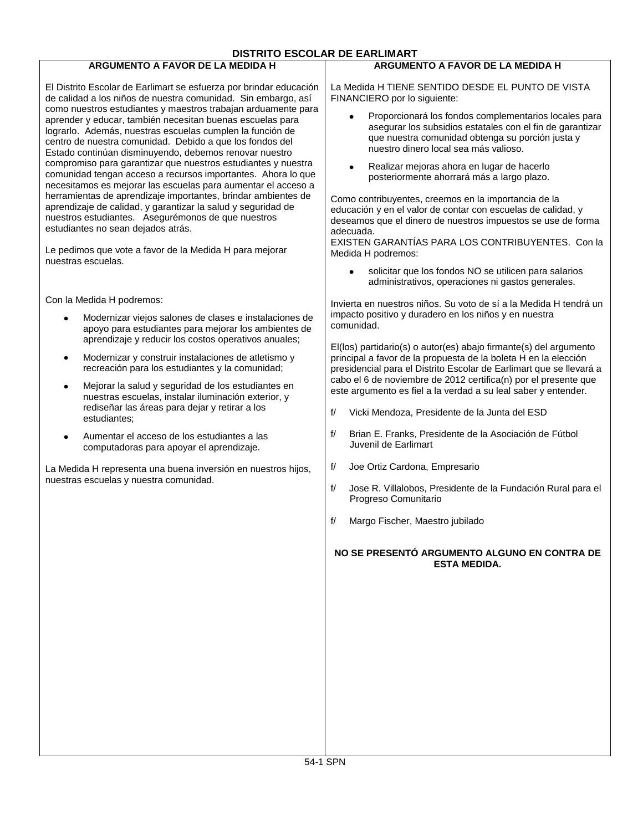#### **DISTRITO ESCOLAR DE EARLIMART ARGUMENTO A FAVOR DE LA MEDIDA H ARGUMENTO A FAVOR DE LA MEDIDA H** El Distrito Escolar de Earlimart se esfuerza por brindar educación La Medida H TIENE SENTIDO DESDE EL PUNTO DE VISTA de calidad a los niños de nuestra comunidad. Sin embargo, así FINANCIERO por lo siguiente: como nuestros estudiantes y maestros trabajan arduamente para Proporcionará los fondos complementarios locales para aprender y educar, también necesitan buenas escuelas para asegurar los subsidios estatales con el fin de garantizar lograrlo. Además, nuestras escuelas cumplen la función de que nuestra comunidad obtenga su porción justa y centro de nuestra comunidad. Debido a que los fondos del nuestro dinero local sea más valioso. Estado continúan disminuyendo, debemos renovar nuestro compromiso para garantizar que nuestros estudiantes y nuestra Realizar mejoras ahora en lugar de hacerlo comunidad tengan acceso a recursos importantes. Ahora lo que posteriormente ahorrará más a largo plazo. necesitamos es mejorar las escuelas para aumentar el acceso a herramientas de aprendizaje importantes, brindar ambientes de Como contribuyentes, creemos en la importancia de la aprendizaje de calidad, y garantizar la salud y seguridad de educación y en el valor de contar con escuelas de calidad, y nuestros estudiantes. Asegurémonos de que nuestros deseamos que el dinero de nuestros impuestos se use de forma estudiantes no sean dejados atrás. adecuada. EXISTEN GARANTÍAS PARA LOS CONTRIBUYENTES. Con la Le pedimos que vote a favor de la Medida H para mejorar Medida H podremos: nuestras escuelas. solicitar que los fondos NO se utilicen para salarios administrativos, operaciones ni gastos generales. Con la Medida H podremos: Invierta en nuestros niños. Su voto de sí a la Medida H tendrá un impacto positivo y duradero en los niños y en nuestra Modernizar viejos salones de clases e instalaciones de comunidad. apoyo para estudiantes para mejorar los ambientes de aprendizaje y reducir los costos operativos anuales; El(los) partidario(s) o autor(es) abajo firmante(s) del argumento Modernizar y construir instalaciones de atletismo y principal a favor de la propuesta de la boleta H en la elección  $\bullet$ recreación para los estudiantes y la comunidad; presidencial para el Distrito Escolar de Earlimart que se llevará a cabo el 6 de noviembre de 2012 certifica(n) por el presente que Mejorar la salud y seguridad de los estudiantes en  $\bullet$ este argumento es fiel a la verdad a su leal saber y entender. nuestras escuelas, instalar iluminación exterior, y rediseñar las áreas para dejar y retirar a los f/ Vicki Mendoza, Presidente de la Junta del ESD estudiantes; f/ Brian E. Franks, Presidente de la Asociación de Fútbol  $\bullet$ Aumentar el acceso de los estudiantes a las Juvenil de Earlimart computadoras para apoyar el aprendizaje. f/ Joe Ortiz Cardona, Empresario La Medida H representa una buena inversión en nuestros hijos, nuestras escuelas y nuestra comunidad. f/ Jose R. Villalobos, Presidente de la Fundación Rural para el Progreso Comunitario f/ Margo Fischer, Maestro jubilado **NO SE PRESENTÓ ARGUMENTO ALGUNO EN CONTRA DE ESTA MEDIDA.**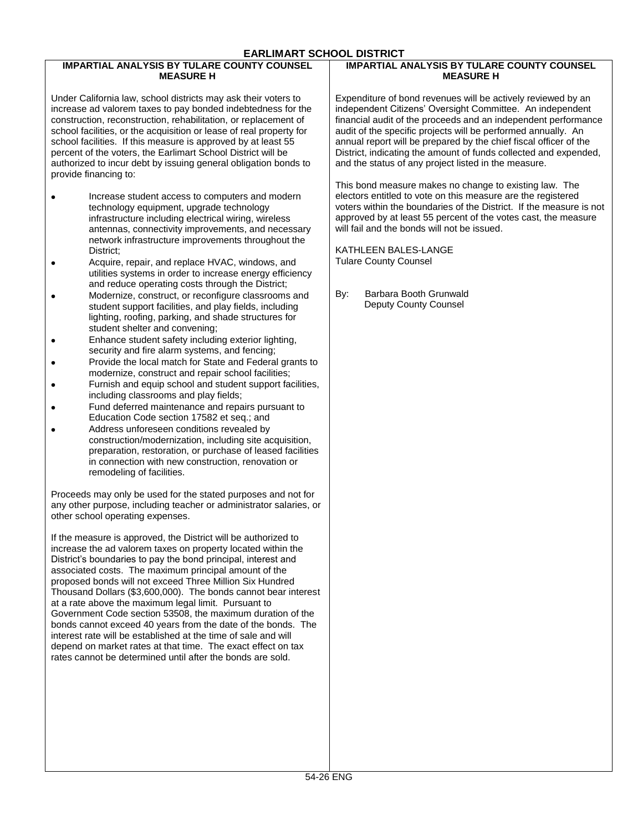## **EARLIMART SCHOOL DISTRICT**

#### **IMPARTIAL ANALYSIS BY TULARE COUNTY COUNSEL MEASURE H**

Under California law, school districts may ask their voters to increase ad valorem taxes to pay bonded indebtedness for the construction, reconstruction, rehabilitation, or replacement of school facilities, or the acquisition or lease of real property for school facilities. If this measure is approved by at least 55 percent of the voters, the Earlimart School District will be authorized to incur debt by issuing general obligation bonds to provide financing to:

- Increase student access to computers and modern technology equipment, upgrade technology infrastructure including electrical wiring, wireless antennas, connectivity improvements, and necessary network infrastructure improvements throughout the District;
- Acquire, repair, and replace HVAC, windows, and utilities systems in order to increase energy efficiency and reduce operating costs through the District;
- Modernize, construct, or reconfigure classrooms and student support facilities, and play fields, including lighting, roofing, parking, and shade structures for student shelter and convening;
- Enhance student safety including exterior lighting,  $\blacksquare$ security and fire alarm systems, and fencing;
- Provide the local match for State and Federal grants to modernize, construct and repair school facilities;
- Furnish and equip school and student support facilities, including classrooms and play fields;
- Fund deferred maintenance and repairs pursuant to Education Code section 17582 et seq.; and
- Address unforeseen conditions revealed by construction/modernization, including site acquisition, preparation, restoration, or purchase of leased facilities in connection with new construction, renovation or remodeling of facilities.

Proceeds may only be used for the stated purposes and not for any other purpose, including teacher or administrator salaries, or other school operating expenses.

If the measure is approved, the District will be authorized to increase the ad valorem taxes on property located within the District's boundaries to pay the bond principal, interest and associated costs. The maximum principal amount of the proposed bonds will not exceed Three Million Six Hundred Thousand Dollars (\$3,600,000). The bonds cannot bear interest at a rate above the maximum legal limit. Pursuant to Government Code section 53508, the maximum duration of the bonds cannot exceed 40 years from the date of the bonds. The interest rate will be established at the time of sale and will depend on market rates at that time. The exact effect on tax rates cannot be determined until after the bonds are sold.

#### **IMPARTIAL ANALYSIS BY TULARE COUNTY COUNSEL MEASURE H**

Expenditure of bond revenues will be actively reviewed by an independent Citizens' Oversight Committee. An independent financial audit of the proceeds and an independent performance audit of the specific projects will be performed annually. An annual report will be prepared by the chief fiscal officer of the District, indicating the amount of funds collected and expended, and the status of any project listed in the measure.

This bond measure makes no change to existing law. The electors entitled to vote on this measure are the registered voters within the boundaries of the District. If the measure is not approved by at least 55 percent of the votes cast, the measure will fail and the bonds will not be issued.

KATHLEEN BALES-LANGE Tulare County Counsel

By: Barbara Booth Grunwald Deputy County Counsel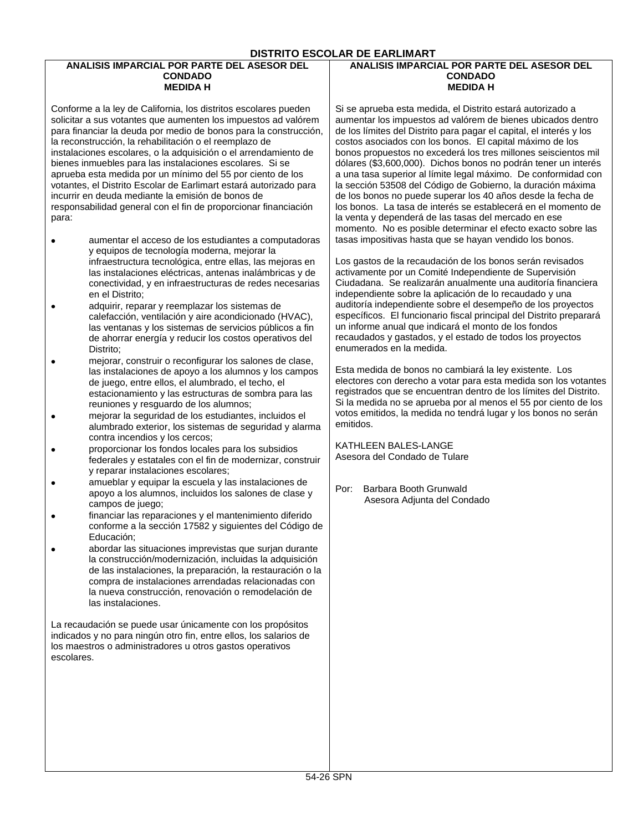#### **DISTRITO ESCOLAR DE EARLIMART**

#### **ANALISIS IMPARCIAL POR PARTE DEL ASESOR DEL CONDADO MEDIDA H**

Conforme a la ley de California, los distritos escolares pueden solicitar a sus votantes que aumenten los impuestos ad valórem para financiar la deuda por medio de bonos para la construcción, la reconstrucción, la rehabilitación o el reemplazo de instalaciones escolares, o la adquisición o el arrendamiento de bienes inmuebles para las instalaciones escolares. Si se aprueba esta medida por un mínimo del 55 por ciento de los votantes, el Distrito Escolar de Earlimart estará autorizado para incurrir en deuda mediante la emisión de bonos de responsabilidad general con el fin de proporcionar financiación para:

- aumentar el acceso de los estudiantes a computadoras y equipos de tecnología moderna, mejorar la infraestructura tecnológica, entre ellas, las mejoras en las instalaciones eléctricas, antenas inalámbricas y de conectividad, y en infraestructuras de redes necesarias en el Distrito;
- adquirir, reparar y reemplazar los sistemas de  $\bullet$ calefacción, ventilación y aire acondicionado (HVAC), las ventanas y los sistemas de servicios públicos a fin de ahorrar energía y reducir los costos operativos del Distrito;
- mejorar, construir o reconfigurar los salones de clase, las instalaciones de apoyo a los alumnos y los campos de juego, entre ellos, el alumbrado, el techo, el estacionamiento y las estructuras de sombra para las reuniones y resguardo de los alumnos;
- mejorar la seguridad de los estudiantes, incluidos el  $\bullet$ alumbrado exterior, los sistemas de seguridad y alarma contra incendios y los cercos;
- proporcionar los fondos locales para los subsidios federales y estatales con el fin de modernizar, construir y reparar instalaciones escolares;
- amueblar y equipar la escuela y las instalaciones de apoyo a los alumnos, incluidos los salones de clase y campos de juego;
- financiar las reparaciones y el mantenimiento diferido conforme a la sección 17582 y siguientes del Código de Educación;
- abordar las situaciones imprevistas que surjan durante la construcción/modernización, incluidas la adquisición de las instalaciones, la preparación, la restauración o la compra de instalaciones arrendadas relacionadas con la nueva construcción, renovación o remodelación de las instalaciones.

La recaudación se puede usar únicamente con los propósitos indicados y no para ningún otro fin, entre ellos, los salarios de los maestros o administradores u otros gastos operativos escolares.

#### **ANALISIS IMPARCIAL POR PARTE DEL ASESOR DEL CONDADO MEDIDA H**

Si se aprueba esta medida, el Distrito estará autorizado a aumentar los impuestos ad valórem de bienes ubicados dentro de los límites del Distrito para pagar el capital, el interés y los costos asociados con los bonos. El capital máximo de los bonos propuestos no excederá los tres millones seiscientos mil dólares (\$3,600,000). Dichos bonos no podrán tener un interés a una tasa superior al límite legal máximo. De conformidad con la sección 53508 del Código de Gobierno, la duración máxima de los bonos no puede superar los 40 años desde la fecha de los bonos. La tasa de interés se establecerá en el momento de la venta y dependerá de las tasas del mercado en ese momento. No es posible determinar el efecto exacto sobre las tasas impositivas hasta que se hayan vendido los bonos.

Los gastos de la recaudación de los bonos serán revisados activamente por un Comité Independiente de Supervisión Ciudadana. Se realizarán anualmente una auditoría financiera independiente sobre la aplicación de lo recaudado y una auditoría independiente sobre el desempeño de los proyectos específicos. El funcionario fiscal principal del Distrito preparará un informe anual que indicará el monto de los fondos recaudados y gastados, y el estado de todos los proyectos enumerados en la medida.

Esta medida de bonos no cambiará la ley existente. Los electores con derecho a votar para esta medida son los votantes registrados que se encuentran dentro de los límites del Distrito. Si la medida no se aprueba por al menos el 55 por ciento de los votos emitidos, la medida no tendrá lugar y los bonos no serán emitidos.

KATHLEEN BALES-LANGE Asesora del Condado de Tulare

Por: Barbara Booth Grunwald Asesora Adjunta del Condado